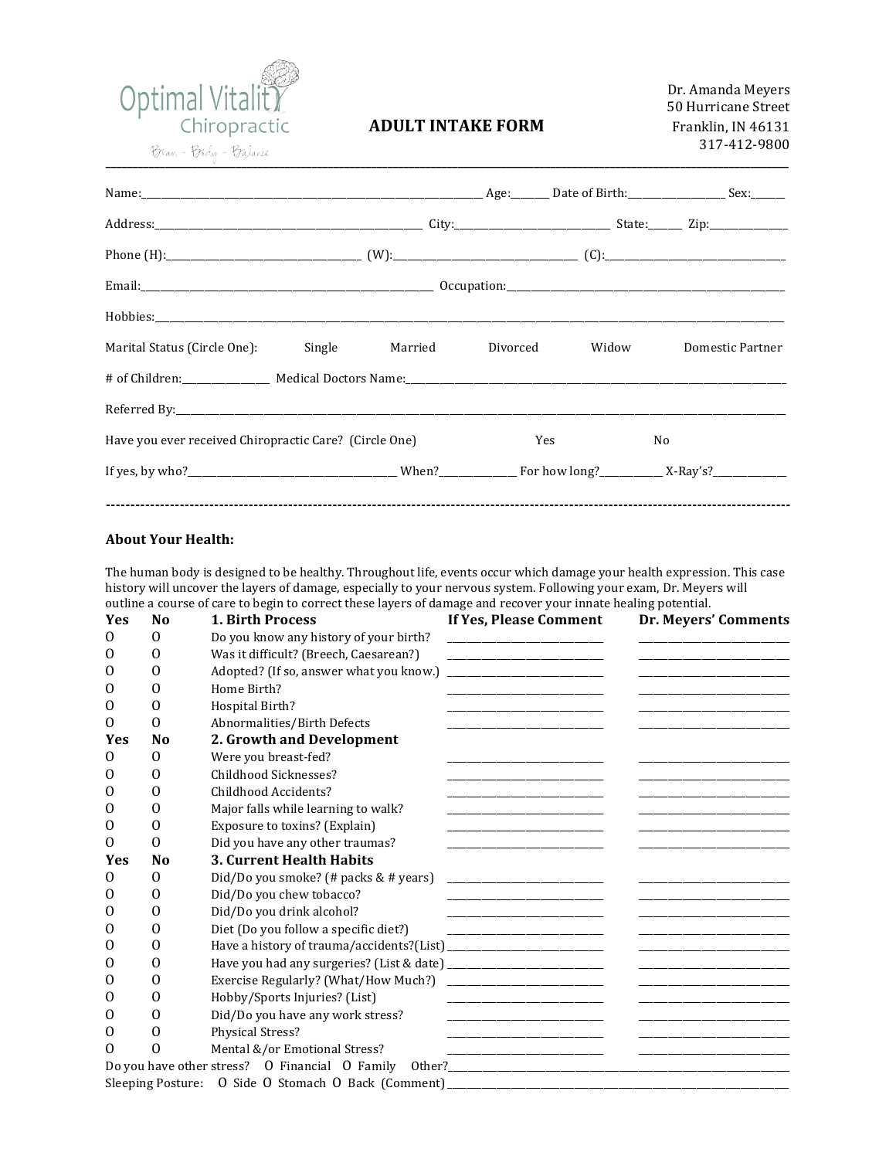

## **ADULT INTAKE FORM**

| Hobbies:                                               |  |                                             |  |                |                  |  |  |  |  |  |
|--------------------------------------------------------|--|---------------------------------------------|--|----------------|------------------|--|--|--|--|--|
|                                                        |  | Marital Status (Circle One): Single Married |  | Divorced Widow | Domestic Partner |  |  |  |  |  |
|                                                        |  |                                             |  |                |                  |  |  |  |  |  |
|                                                        |  |                                             |  |                |                  |  |  |  |  |  |
| Have you ever received Chiropractic Care? (Circle One) |  |                                             |  | Yes            | No               |  |  |  |  |  |
|                                                        |  |                                             |  |                |                  |  |  |  |  |  |
|                                                        |  |                                             |  |                |                  |  |  |  |  |  |

## **About Your Health:**

The human body is designed to be healthy. Throughout life, events occur which damage your health expression. This case history will uncover the layers of damage, especially to your nervous system. Following your exam, Dr. Meyers will outline a course of care to begin to correct these layers of damage and recover your innate healing potential.

| <b>Yes</b> | N <sub>0</sub> | <b>1. Birth Process</b>                 | If Yes, Please Comment                                                                                                                                                                                                               | Dr. Meyers' Comments                                                       |
|------------|----------------|-----------------------------------------|--------------------------------------------------------------------------------------------------------------------------------------------------------------------------------------------------------------------------------------|----------------------------------------------------------------------------|
| 0          | $\Omega$       | Do you know any history of your birth?  | the control of the control of the control of the                                                                                                                                                                                     |                                                                            |
| 0          | $\Omega$       | Was it difficult? (Breech, Caesarean?)  |                                                                                                                                                                                                                                      | the control of the control of the control of the control of                |
| 0          | 0              | Adopted? (If so, answer what you know.) | <u> 2000 - John Harry Harry Harry Harry Harry Harry Harry Harry Harry Harry Harry Harry Harry Harry Harry Harry H</u>                                                                                                                |                                                                            |
| $\Omega$   | $\Omega$       | Home Birth?                             |                                                                                                                                                                                                                                      |                                                                            |
| 0          | $\Omega$       | Hospital Birth?                         | <u> 1989 - Johann Harry Harry Harry Harry Harry Harry Harry Harry Harry Harry Harry Harry Harry Harry Harry Harry</u>                                                                                                                |                                                                            |
| 0          | $\Omega$       | Abnormalities/Birth Defects             |                                                                                                                                                                                                                                      |                                                                            |
| <b>Yes</b> | N <sub>0</sub> | 2. Growth and Development               |                                                                                                                                                                                                                                      |                                                                            |
| $\Omega$   | 0              | Were you breast-fed?                    |                                                                                                                                                                                                                                      |                                                                            |
| 0          | 0              | Childhood Sicknesses?                   |                                                                                                                                                                                                                                      |                                                                            |
| 0          | 0              | Childhood Accidents?                    |                                                                                                                                                                                                                                      |                                                                            |
| 0          | 0              | Major falls while learning to walk?     | <u> 1989 - Johann John Harry Harry Harry Harry Harry Harry Harry Harry Harry Harry Harry Harry Harry Harry Harry H</u>                                                                                                               |                                                                            |
| 0          | 0              | Exposure to toxins? (Explain)           |                                                                                                                                                                                                                                      |                                                                            |
| 0          | 0              | Did you have any other traumas?         |                                                                                                                                                                                                                                      |                                                                            |
| <b>Yes</b> | N <sub>0</sub> | 3. Current Health Habits                |                                                                                                                                                                                                                                      |                                                                            |
| $\Omega$   | 0              | Did/Do you smoke? (# packs & # years)   | the control of the control of the control of the control of the control of                                                                                                                                                           |                                                                            |
| 0          | 0              | Did/Do you chew tobacco?                |                                                                                                                                                                                                                                      |                                                                            |
| 0          | 0              | Did/Do you drink alcohol?               |                                                                                                                                                                                                                                      |                                                                            |
| 0          | $\Omega$       | Diet (Do you follow a specific diet?)   |                                                                                                                                                                                                                                      |                                                                            |
| 0          | $\Omega$       |                                         |                                                                                                                                                                                                                                      |                                                                            |
| O          | $\Omega$       |                                         |                                                                                                                                                                                                                                      |                                                                            |
| 0          | 0              | Exercise Regularly? (What/How Much?)    | <u> 1989 - John Harry Harry Harry Harry Harry Harry Harry Harry Harry Harry Harry Harry Harry Harry Harry Harry Harry Harry Harry Harry Harry Harry Harry Harry Harry Harry Harry Harry Harry Harry Harry Harry Harry Harry Harr</u> |                                                                            |
| 0          | $\Omega$       | Hobby/Sports Injuries? (List)           | <u> 1989 - Johann Harry Harry Harry Harry Harry Harry Harry Harry Harry Harry Harry Harry Harry Harry Harry Harry</u>                                                                                                                |                                                                            |
| 0          | $\Omega$       | Did/Do you have any work stress?        |                                                                                                                                                                                                                                      |                                                                            |
| 0          | 0              | Physical Stress?                        |                                                                                                                                                                                                                                      |                                                                            |
| 0          | 0              | Mental &/or Emotional Stress?           |                                                                                                                                                                                                                                      | the control of the control of the control of the control of the control of |
|            |                |                                         |                                                                                                                                                                                                                                      |                                                                            |
|            |                |                                         |                                                                                                                                                                                                                                      |                                                                            |